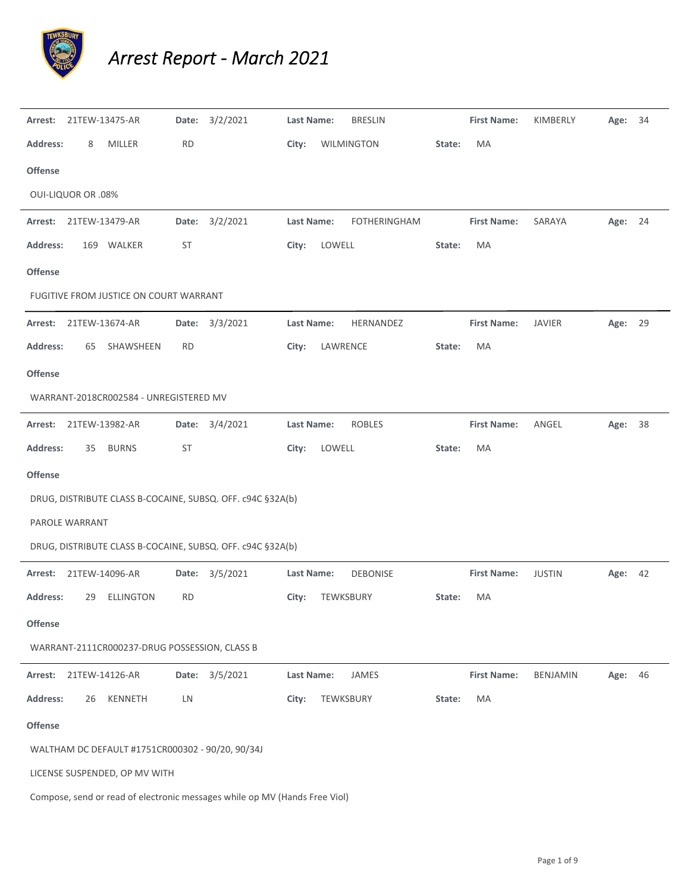

## *Arrest Report ‐ March 2021*

| Arrest:                   |    | 21TEW-13475-AR                                   |           | Date: 3/2/2021                                                             | Last Name: |           | <b>BRESLIN</b>      |        | <b>First Name:</b> | KIMBERLY        | Age: 34 |  |
|---------------------------|----|--------------------------------------------------|-----------|----------------------------------------------------------------------------|------------|-----------|---------------------|--------|--------------------|-----------------|---------|--|
| <b>Address:</b>           | 8  | MILLER                                           | <b>RD</b> |                                                                            | City:      |           | WILMINGTON          | State: | MA                 |                 |         |  |
| <b>Offense</b>            |    |                                                  |           |                                                                            |            |           |                     |        |                    |                 |         |  |
| <b>OUI-LIQUOR OR .08%</b> |    |                                                  |           |                                                                            |            |           |                     |        |                    |                 |         |  |
| Arrest:                   |    | 21TEW-13479-AR                                   |           | Date: 3/2/2021                                                             | Last Name: |           | <b>FOTHERINGHAM</b> |        | <b>First Name:</b> | SARAYA          | Age: 24 |  |
| <b>Address:</b>           |    | 169 WALKER                                       | <b>ST</b> |                                                                            | City:      | LOWELL    |                     | State: | MA                 |                 |         |  |
| <b>Offense</b>            |    |                                                  |           |                                                                            |            |           |                     |        |                    |                 |         |  |
|                           |    | FUGITIVE FROM JUSTICE ON COURT WARRANT           |           |                                                                            |            |           |                     |        |                    |                 |         |  |
| Arrest:                   |    | 21TEW-13674-AR                                   |           | Date: 3/3/2021                                                             | Last Name: |           | HERNANDEZ           |        | <b>First Name:</b> | JAVIER          | Age: 29 |  |
| <b>Address:</b>           | 65 | SHAWSHEEN                                        | RD.       |                                                                            | City:      | LAWRENCE  |                     | State: | МA                 |                 |         |  |
| <b>Offense</b>            |    |                                                  |           |                                                                            |            |           |                     |        |                    |                 |         |  |
|                           |    | WARRANT-2018CR002584 - UNREGISTERED MV           |           |                                                                            |            |           |                     |        |                    |                 |         |  |
| Arrest:                   |    | 21TEW-13982-AR                                   |           | Date: 3/4/2021                                                             | Last Name: |           | <b>ROBLES</b>       |        | <b>First Name:</b> | ANGEL           | Age: 38 |  |
| <b>Address:</b>           | 35 | <b>BURNS</b>                                     | <b>ST</b> |                                                                            | City:      | LOWELL    |                     | State: | MA                 |                 |         |  |
| Offense                   |    |                                                  |           |                                                                            |            |           |                     |        |                    |                 |         |  |
|                           |    |                                                  |           | DRUG, DISTRIBUTE CLASS B-COCAINE, SUBSQ. OFF. c94C §32A(b)                 |            |           |                     |        |                    |                 |         |  |
| PAROLE WARRANT            |    |                                                  |           |                                                                            |            |           |                     |        |                    |                 |         |  |
|                           |    |                                                  |           | DRUG, DISTRIBUTE CLASS B-COCAINE, SUBSQ. OFF. c94C §32A(b)                 |            |           |                     |        |                    |                 |         |  |
| Arrest:                   |    | 21TEW-14096-AR                                   |           | Date: 3/5/2021                                                             | Last Name: |           | <b>DEBONISE</b>     |        | <b>First Name:</b> | <b>JUSTIN</b>   | Age: 42 |  |
| <b>Address:</b>           | 29 | <b>ELLINGTON</b>                                 | RD.       |                                                                            | City:      | TEWKSBURY |                     | State: | MA                 |                 |         |  |
| Offense                   |    |                                                  |           |                                                                            |            |           |                     |        |                    |                 |         |  |
|                           |    | WARRANT-2111CR000237-DRUG POSSESSION, CLASS B    |           |                                                                            |            |           |                     |        |                    |                 |         |  |
| Arrest:                   |    | 21TEW-14126-AR                                   |           | Date: 3/5/2021                                                             | Last Name: |           | JAMES               |        | <b>First Name:</b> | <b>BENJAMIN</b> | Age: 46 |  |
| <b>Address:</b>           | 26 | KENNETH                                          | LN        |                                                                            | City:      | TEWKSBURY |                     | State: | MA                 |                 |         |  |
| Offense                   |    |                                                  |           |                                                                            |            |           |                     |        |                    |                 |         |  |
|                           |    | WALTHAM DC DEFAULT #1751CR000302 - 90/20, 90/34J |           |                                                                            |            |           |                     |        |                    |                 |         |  |
|                           |    | LICENSE SUSPENDED, OP MV WITH                    |           |                                                                            |            |           |                     |        |                    |                 |         |  |
|                           |    |                                                  |           | Compose, send or read of electronic messages while op MV (Hands Free Viol) |            |           |                     |        |                    |                 |         |  |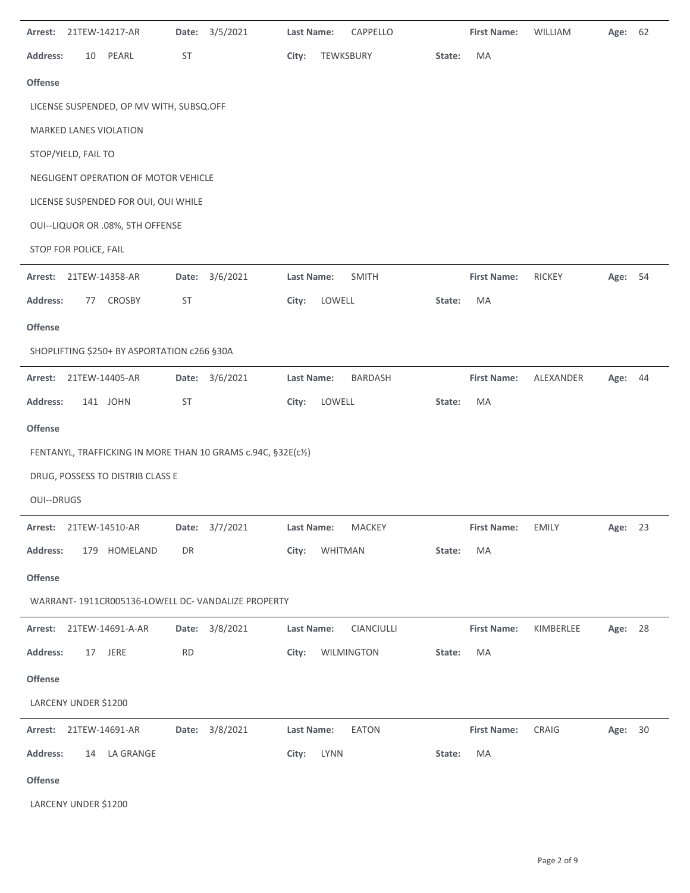| Arrest:           | 21TEW-14217-AR         |                                             | Date:     | 3/5/2021                                                      | <b>Last Name:</b> |           | CAPPELLO          |        | <b>First Name:</b> | WILLIAM       | Age:    | 62 |
|-------------------|------------------------|---------------------------------------------|-----------|---------------------------------------------------------------|-------------------|-----------|-------------------|--------|--------------------|---------------|---------|----|
| <b>Address:</b>   | 10                     | PEARL                                       | ST        |                                                               | City:             | TEWKSBURY |                   | State: | MA                 |               |         |    |
| Offense           |                        |                                             |           |                                                               |                   |           |                   |        |                    |               |         |    |
|                   |                        | LICENSE SUSPENDED, OP MV WITH, SUBSQ.OFF    |           |                                                               |                   |           |                   |        |                    |               |         |    |
|                   |                        | MARKED LANES VIOLATION                      |           |                                                               |                   |           |                   |        |                    |               |         |    |
|                   | STOP/YIELD, FAIL TO    |                                             |           |                                                               |                   |           |                   |        |                    |               |         |    |
|                   |                        | NEGLIGENT OPERATION OF MOTOR VEHICLE        |           |                                                               |                   |           |                   |        |                    |               |         |    |
|                   |                        | LICENSE SUSPENDED FOR OUI, OUI WHILE        |           |                                                               |                   |           |                   |        |                    |               |         |    |
|                   |                        | OUI--LIQUOR OR .08%, 5TH OFFENSE            |           |                                                               |                   |           |                   |        |                    |               |         |    |
|                   | STOP FOR POLICE, FAIL  |                                             |           |                                                               |                   |           |                   |        |                    |               |         |    |
| Arrest:           | 21TEW-14358-AR         |                                             | Date:     | 3/6/2021                                                      | Last Name:        |           | <b>SMITH</b>      |        | <b>First Name:</b> | <b>RICKEY</b> | Age:    | 54 |
| <b>Address:</b>   | 77                     | CROSBY                                      | <b>ST</b> |                                                               | City:             | LOWELL    |                   | State: | MA                 |               |         |    |
| <b>Offense</b>    |                        |                                             |           |                                                               |                   |           |                   |        |                    |               |         |    |
|                   |                        | SHOPLIFTING \$250+ BY ASPORTATION c266 §30A |           |                                                               |                   |           |                   |        |                    |               |         |    |
| Arrest:           | 21TEW-14405-AR         |                                             | Date:     | 3/6/2021                                                      | Last Name:        |           | <b>BARDASH</b>    |        | <b>First Name:</b> | ALEXANDER     | Age:    | 44 |
| <b>Address:</b>   |                        | 141 JOHN                                    | <b>ST</b> |                                                               | City:             | LOWELL    |                   | State: | MA                 |               |         |    |
| <b>Offense</b>    |                        |                                             |           |                                                               |                   |           |                   |        |                    |               |         |    |
|                   |                        |                                             |           | FENTANYL, TRAFFICKING IN MORE THAN 10 GRAMS c.94C, §32E(c1/2) |                   |           |                   |        |                    |               |         |    |
|                   |                        | DRUG, POSSESS TO DISTRIB CLASS E            |           |                                                               |                   |           |                   |        |                    |               |         |    |
| <b>OUI--DRUGS</b> |                        |                                             |           |                                                               |                   |           |                   |        |                    |               |         |    |
|                   | Arrest: 21TEW-14510-AR |                                             |           | Date: 3/7/2021                                                | Last Name:        |           | MACKEY            |        | <b>First Name:</b> | EMILY         | Age: 23 |    |
| Address:          |                        | 179 HOMELAND                                | DR        |                                                               | City:             | WHITMAN   |                   | State: | MA                 |               |         |    |
| <b>Offense</b>    |                        |                                             |           |                                                               |                   |           |                   |        |                    |               |         |    |
|                   |                        |                                             |           | WARRANT-1911CR005136-LOWELL DC-VANDALIZE PROPERTY             |                   |           |                   |        |                    |               |         |    |
|                   |                        | Arrest: 21TEW-14691-A-AR                    |           | Date: 3/8/2021                                                | Last Name:        |           | <b>CIANCIULLI</b> |        | <b>First Name:</b> | KIMBERLEE     | Age: 28 |    |
| <b>Address:</b>   |                        | 17 JERE                                     | <b>RD</b> |                                                               | City:             |           | WILMINGTON        | State: | MA                 |               |         |    |
| <b>Offense</b>    |                        |                                             |           |                                                               |                   |           |                   |        |                    |               |         |    |
|                   | LARCENY UNDER \$1200   |                                             |           |                                                               |                   |           |                   |        |                    |               |         |    |
|                   | Arrest: 21TEW-14691-AR |                                             |           | Date: 3/8/2021                                                | Last Name:        |           | EATON             |        | <b>First Name:</b> | CRAIG         | Age: 30 |    |
| <b>Address:</b>   |                        | 14 LA GRANGE                                |           |                                                               | City:             | LYNN      |                   | State: | MA                 |               |         |    |
| <b>Offense</b>    |                        |                                             |           |                                                               |                   |           |                   |        |                    |               |         |    |
|                   | LARCENY UNDER \$1200   |                                             |           |                                                               |                   |           |                   |        |                    |               |         |    |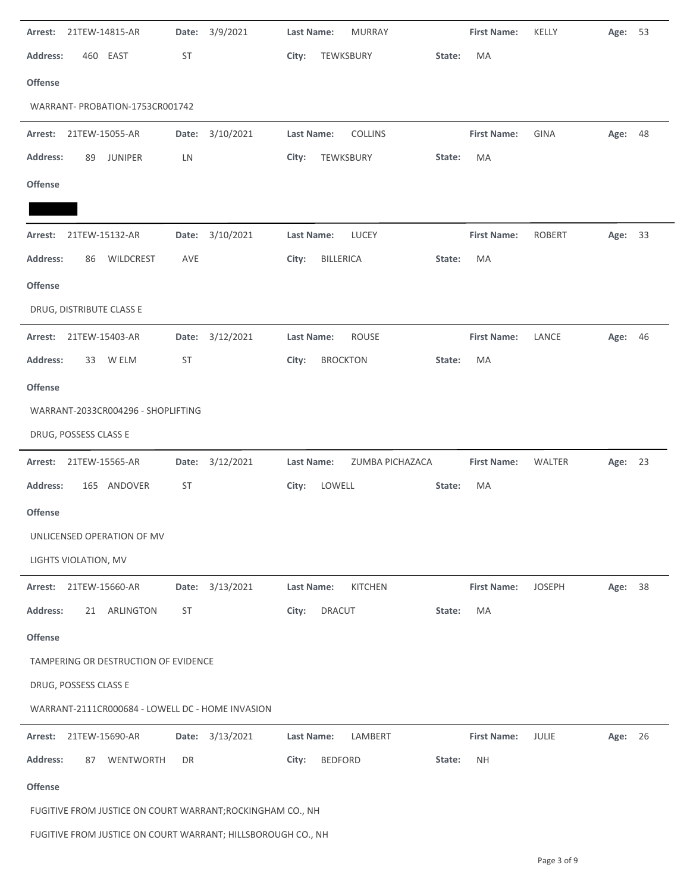| Arrest: 21TEW-14815-AR                                       | Date: 3/9/2021     | Last Name:<br><b>MURRAY</b>         |        | <b>First Name:</b> | KELLY         | Age: 53 |  |
|--------------------------------------------------------------|--------------------|-------------------------------------|--------|--------------------|---------------|---------|--|
| <b>Address:</b><br>460 EAST                                  | <b>ST</b>          | City:<br>TEWKSBURY                  | State: | MA                 |               |         |  |
| Offense                                                      |                    |                                     |        |                    |               |         |  |
| WARRANT- PROBATION-1753CR001742                              |                    |                                     |        |                    |               |         |  |
| Arrest: 21TEW-15055-AR                                       | Date: 3/10/2021    | Last Name:<br><b>COLLINS</b>        |        | <b>First Name:</b> | <b>GINA</b>   | Age: 48 |  |
| <b>Address:</b><br><b>JUNIPER</b><br>89                      | LN                 | TEWKSBURY<br>City:                  | State: | MA                 |               |         |  |
| <b>Offense</b>                                               |                    |                                     |        |                    |               |         |  |
|                                                              |                    |                                     |        |                    |               |         |  |
| 21TEW-15132-AR<br>Arrest:                                    | Date: 3/10/2021    | Last Name:<br>LUCEY                 |        | <b>First Name:</b> | <b>ROBERT</b> | Age: 33 |  |
| <b>Address:</b><br>WILDCREST<br>86                           | AVE                | <b>BILLERICA</b><br>City:           | State: | MA                 |               |         |  |
| Offense                                                      |                    |                                     |        |                    |               |         |  |
| DRUG, DISTRIBUTE CLASS E                                     |                    |                                     |        |                    |               |         |  |
| Arrest: 21TEW-15403-AR                                       | Date: 3/12/2021    | Last Name:<br><b>ROUSE</b>          |        | <b>First Name:</b> | LANCE         | Age: 46 |  |
| <b>Address:</b><br>W ELM<br>33                               | <b>ST</b>          | City:<br><b>BROCKTON</b>            | State: | MA                 |               |         |  |
| <b>Offense</b>                                               |                    |                                     |        |                    |               |         |  |
| WARRANT-2033CR004296 - SHOPLIFTING                           |                    |                                     |        |                    |               |         |  |
| DRUG, POSSESS CLASS E                                        |                    |                                     |        |                    |               |         |  |
| 21TEW-15565-AR<br>Arrest:                                    | 3/12/2021<br>Date: | Last Name:<br>ZUMBA PICHAZACA       |        | <b>First Name:</b> | <b>WALTER</b> | Age: 23 |  |
| <b>Address:</b><br>165 ANDOVER                               | <b>ST</b>          | City:<br>LOWELL                     | State: | MA                 |               |         |  |
| <b>Offense</b>                                               |                    |                                     |        |                    |               |         |  |
| UNLICENSED OPERATION OF MV                                   |                    |                                     |        |                    |               |         |  |
| LIGHTS VIOLATION, MV                                         |                    |                                     |        |                    |               |         |  |
| Arrest: 21TEW-15660-AR                                       | Date: 3/13/2021    | <b>Last Name:</b><br><b>KITCHEN</b> |        | <b>First Name:</b> | <b>JOSEPH</b> | Age: 38 |  |
| <b>Address:</b><br>ARLINGTON<br>21                           | <b>ST</b>          | City:<br>DRACUT                     | State: | MA                 |               |         |  |
| Offense                                                      |                    |                                     |        |                    |               |         |  |
| TAMPERING OR DESTRUCTION OF EVIDENCE                         |                    |                                     |        |                    |               |         |  |
| DRUG, POSSESS CLASS E                                        |                    |                                     |        |                    |               |         |  |
| WARRANT-2111CR000684 - LOWELL DC - HOME INVASION             |                    |                                     |        |                    |               |         |  |
| 21TEW-15690-AR<br>Arrest:                                    | Date: 3/13/2021    | Last Name:<br>LAMBERT               |        | <b>First Name:</b> | JULIE         | Age: 26 |  |
| <b>Address:</b><br>WENTWORTH<br>87                           | DR                 | <b>BEDFORD</b><br>City:             | State: | <b>NH</b>          |               |         |  |
| Offense                                                      |                    |                                     |        |                    |               |         |  |
| FUGITIVE FROM JUSTICE ON COURT WARRANT; ROCKINGHAM CO., NH   |                    |                                     |        |                    |               |         |  |
| FUGITIVE FROM JUSTICE ON COURT WARRANT; HILLSBOROUGH CO., NH |                    |                                     |        |                    |               |         |  |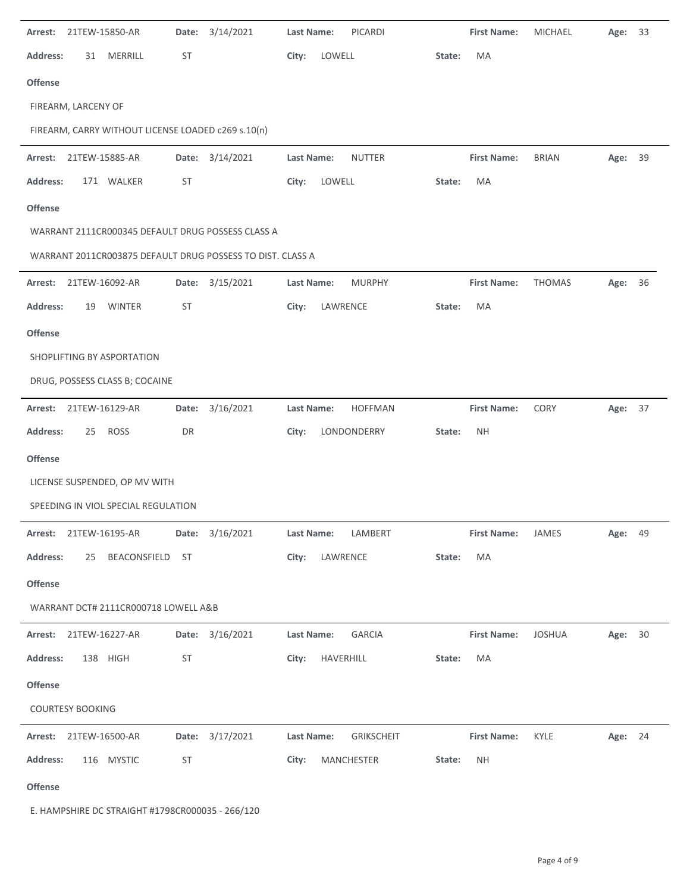| Arrest:                 | 21TEW-15850-AR                                             | Date:     | 3/14/2021       | Last Name: | PICARDI           |        | <b>First Name:</b> | <b>MICHAEL</b> | Age:    | 33 |
|-------------------------|------------------------------------------------------------|-----------|-----------------|------------|-------------------|--------|--------------------|----------------|---------|----|
| <b>Address:</b>         | 31 MERRILL                                                 | <b>ST</b> |                 | City:      | LOWELL            | State: | MA                 |                |         |    |
| <b>Offense</b>          |                                                            |           |                 |            |                   |        |                    |                |         |    |
|                         |                                                            |           |                 |            |                   |        |                    |                |         |    |
|                         | FIREARM, LARCENY OF                                        |           |                 |            |                   |        |                    |                |         |    |
|                         | FIREARM, CARRY WITHOUT LICENSE LOADED c269 s.10(n)         |           |                 |            |                   |        |                    |                |         |    |
| Arrest:                 | 21TEW-15885-AR                                             | Date:     | 3/14/2021       | Last Name: | <b>NUTTER</b>     |        | <b>First Name:</b> | <b>BRIAN</b>   | Age:    | 39 |
| <b>Address:</b>         | 171 WALKER                                                 | <b>ST</b> |                 | City:      | LOWELL            | State: | MA                 |                |         |    |
| <b>Offense</b>          |                                                            |           |                 |            |                   |        |                    |                |         |    |
|                         | WARRANT 2111CR000345 DEFAULT DRUG POSSESS CLASS A          |           |                 |            |                   |        |                    |                |         |    |
|                         | WARRANT 2011CR003875 DEFAULT DRUG POSSESS TO DIST. CLASS A |           |                 |            |                   |        |                    |                |         |    |
| Arrest:                 | 21TEW-16092-AR                                             | Date:     | 3/15/2021       | Last Name: | <b>MURPHY</b>     |        | <b>First Name:</b> | <b>THOMAS</b>  | Age:    | 36 |
| <b>Address:</b>         | <b>WINTER</b><br>19                                        | <b>ST</b> |                 | City:      | LAWRENCE          | State: | MA                 |                |         |    |
| <b>Offense</b>          |                                                            |           |                 |            |                   |        |                    |                |         |    |
|                         | SHOPLIFTING BY ASPORTATION                                 |           |                 |            |                   |        |                    |                |         |    |
|                         | DRUG, POSSESS CLASS B; COCAINE                             |           |                 |            |                   |        |                    |                |         |    |
| Arrest:                 | 21TEW-16129-AR                                             | Date:     | 3/16/2021       | Last Name: | <b>HOFFMAN</b>    |        | <b>First Name:</b> | CORY           | Age: 37 |    |
| <b>Address:</b>         | <b>ROSS</b><br>25                                          | DR        |                 | City:      | LONDONDERRY       | State: | <b>NH</b>          |                |         |    |
| <b>Offense</b>          |                                                            |           |                 |            |                   |        |                    |                |         |    |
|                         | LICENSE SUSPENDED, OP MV WITH                              |           |                 |            |                   |        |                    |                |         |    |
|                         | SPEEDING IN VIOL SPECIAL REGULATION                        |           |                 |            |                   |        |                    |                |         |    |
|                         | Arrest: 21TEW-16195-AR                                     |           | Date: 3/16/2021 | Last Name: | LAMBERT           |        | <b>First Name:</b> | JAMES          | Age: 49 |    |
| Address:                | 25<br>BEACONSFIELD                                         | ST        |                 | City:      | LAWRENCE          | State: | MA                 |                |         |    |
| Offense                 |                                                            |           |                 |            |                   |        |                    |                |         |    |
|                         | WARRANT DCT# 2111CR000718 LOWELL A&B                       |           |                 |            |                   |        |                    |                |         |    |
|                         | Arrest: 21TEW-16227-AR                                     |           | Date: 3/16/2021 | Last Name: | <b>GARCIA</b>     |        | <b>First Name:</b> | <b>JOSHUA</b>  | Age: 30 |    |
| <b>Address:</b>         | 138 HIGH                                                   | ST        |                 | City:      | HAVERHILL         | State: | MA                 |                |         |    |
| Offense                 |                                                            |           |                 |            |                   |        |                    |                |         |    |
| <b>COURTESY BOOKING</b> |                                                            |           |                 |            |                   |        |                    |                |         |    |
|                         | Arrest: 21TEW-16500-AR                                     |           | Date: 3/17/2021 | Last Name: | <b>GRIKSCHEIT</b> |        | <b>First Name:</b> | KYLE           | Age: 24 |    |
| <b>Address:</b>         | 116 MYSTIC                                                 | <b>ST</b> |                 | City:      | MANCHESTER        | State: | <b>NH</b>          |                |         |    |
| Offense                 |                                                            |           |                 |            |                   |        |                    |                |         |    |

E. HAMPSHIRE DC STRAIGHT #1798CR000035 ‐ 266/120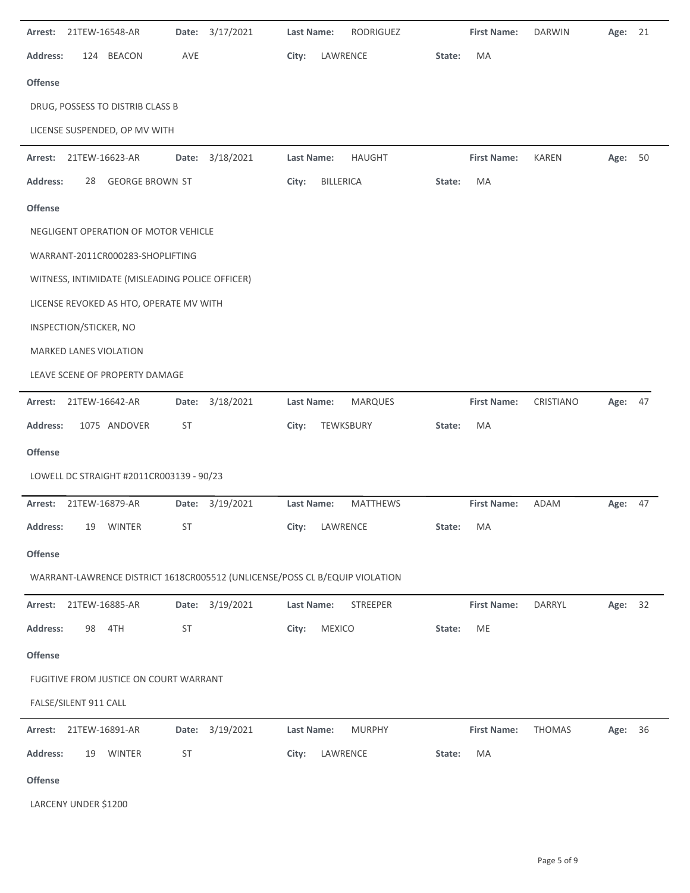| Arrest:         | 21TEW-16548-AR         |                                                 |           | Date: 3/17/2021                                                             | <b>Last Name:</b> |               | RODRIGUEZ       |        | <b>First Name:</b> | <b>DARWIN</b> | Age:    | 21 |
|-----------------|------------------------|-------------------------------------------------|-----------|-----------------------------------------------------------------------------|-------------------|---------------|-----------------|--------|--------------------|---------------|---------|----|
| <b>Address:</b> |                        | 124 BEACON                                      | AVE       |                                                                             | City:             | LAWRENCE      |                 | State: | MA                 |               |         |    |
| <b>Offense</b>  |                        |                                                 |           |                                                                             |                   |               |                 |        |                    |               |         |    |
|                 |                        | DRUG, POSSESS TO DISTRIB CLASS B                |           |                                                                             |                   |               |                 |        |                    |               |         |    |
|                 |                        | LICENSE SUSPENDED, OP MV WITH                   |           |                                                                             |                   |               |                 |        |                    |               |         |    |
| Arrest:         | 21TEW-16623-AR         |                                                 |           | Date: 3/18/2021                                                             | Last Name:        |               | HAUGHT          |        | <b>First Name:</b> | <b>KAREN</b>  | Age: 50 |    |
| <b>Address:</b> |                        | 28 GEORGE BROWN ST                              |           |                                                                             | City:             | BILLERICA     |                 | State: | MA                 |               |         |    |
| <b>Offense</b>  |                        |                                                 |           |                                                                             |                   |               |                 |        |                    |               |         |    |
|                 |                        | NEGLIGENT OPERATION OF MOTOR VEHICLE            |           |                                                                             |                   |               |                 |        |                    |               |         |    |
|                 |                        | WARRANT-2011CR000283-SHOPLIFTING                |           |                                                                             |                   |               |                 |        |                    |               |         |    |
|                 |                        | WITNESS, INTIMIDATE (MISLEADING POLICE OFFICER) |           |                                                                             |                   |               |                 |        |                    |               |         |    |
|                 |                        | LICENSE REVOKED AS HTO, OPERATE MV WITH         |           |                                                                             |                   |               |                 |        |                    |               |         |    |
|                 | INSPECTION/STICKER, NO |                                                 |           |                                                                             |                   |               |                 |        |                    |               |         |    |
|                 | MARKED LANES VIOLATION |                                                 |           |                                                                             |                   |               |                 |        |                    |               |         |    |
|                 |                        | LEAVE SCENE OF PROPERTY DAMAGE                  |           |                                                                             |                   |               |                 |        |                    |               |         |    |
| Arrest:         | 21TEW-16642-AR         |                                                 |           | Date: 3/18/2021                                                             | Last Name:        |               | <b>MARQUES</b>  |        | <b>First Name:</b> | CRISTIANO     | Age: 47 |    |
| <b>Address:</b> |                        | 1075 ANDOVER                                    | <b>ST</b> |                                                                             | City:             | TEWKSBURY     |                 | State: | MA                 |               |         |    |
| <b>Offense</b>  |                        |                                                 |           |                                                                             |                   |               |                 |        |                    |               |         |    |
|                 |                        | LOWELL DC STRAIGHT #2011CR003139 - 90/23        |           |                                                                             |                   |               |                 |        |                    |               |         |    |
| Arrest:         | 21TEW-16879-AR         |                                                 |           | Date: 3/19/2021                                                             | Last Name:        |               | <b>MATTHEWS</b> |        | <b>First Name:</b> | ADAM          | Age: 47 |    |
| Address:        |                        | 19 WINTER                                       | ST        |                                                                             | City: LAWRENCE    |               |                 | State: | MA                 |               |         |    |
| Offense         |                        |                                                 |           |                                                                             |                   |               |                 |        |                    |               |         |    |
|                 |                        |                                                 |           | WARRANT-LAWRENCE DISTRICT 1618CR005512 (UNLICENSE/POSS CL B/EQUIP VIOLATION |                   |               |                 |        |                    |               |         |    |
| Arrest:         | 21TEW-16885-AR         |                                                 |           | Date: 3/19/2021                                                             | <b>Last Name:</b> |               | <b>STREEPER</b> |        | <b>First Name:</b> | DARRYL        | Age: 32 |    |
| <b>Address:</b> | 98                     | 4TH                                             | ST        |                                                                             | City:             | <b>MEXICO</b> |                 | State: | ME                 |               |         |    |
| Offense         |                        |                                                 |           |                                                                             |                   |               |                 |        |                    |               |         |    |
|                 |                        | FUGITIVE FROM JUSTICE ON COURT WARRANT          |           |                                                                             |                   |               |                 |        |                    |               |         |    |
|                 | FALSE/SILENT 911 CALL  |                                                 |           |                                                                             |                   |               |                 |        |                    |               |         |    |
| Arrest:         | 21TEW-16891-AR         |                                                 |           | Date: 3/19/2021                                                             | <b>Last Name:</b> |               | <b>MURPHY</b>   |        | <b>First Name:</b> | <b>THOMAS</b> | Age: 36 |    |
| <b>Address:</b> | 19                     | WINTER                                          | ST        |                                                                             | City:             | LAWRENCE      |                 | State: | MA                 |               |         |    |
| Offense         |                        |                                                 |           |                                                                             |                   |               |                 |        |                    |               |         |    |

LARCENY UNDER \$1200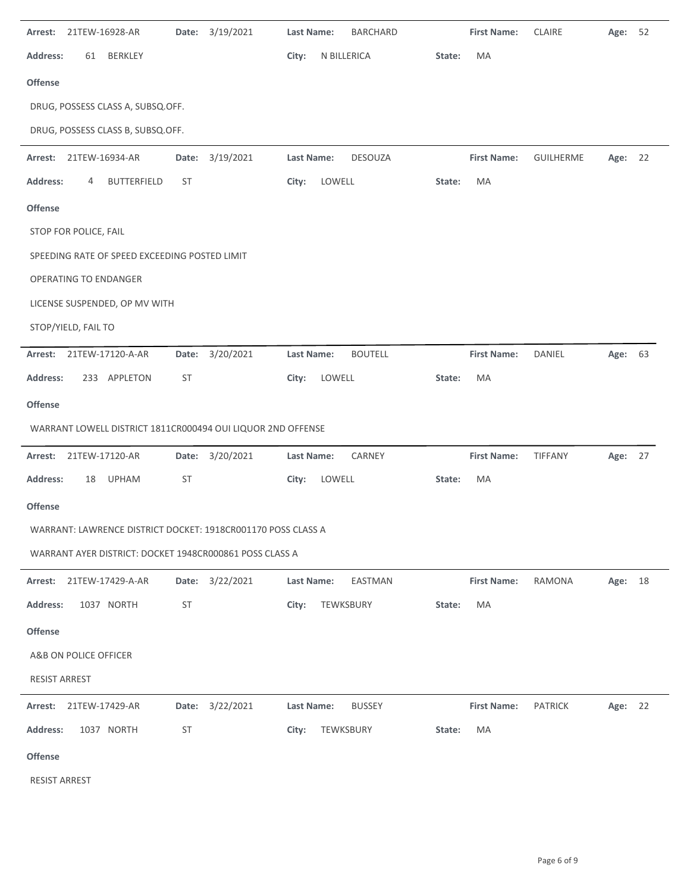| Arrest:              |                       | 21TEW-16928-AR                                | Date:     | 3/19/2021                                                    | Last Name: |             | <b>BARCHARD</b> |        | <b>First Name:</b> | CLAIRE           | Age:    | 52 |
|----------------------|-----------------------|-----------------------------------------------|-----------|--------------------------------------------------------------|------------|-------------|-----------------|--------|--------------------|------------------|---------|----|
| <b>Address:</b>      | 61                    | <b>BERKLEY</b>                                |           |                                                              | City:      | N BILLERICA |                 | State: | MA                 |                  |         |    |
| Offense              |                       |                                               |           |                                                              |            |             |                 |        |                    |                  |         |    |
|                      |                       | DRUG, POSSESS CLASS A, SUBSQ.OFF.             |           |                                                              |            |             |                 |        |                    |                  |         |    |
|                      |                       | DRUG, POSSESS CLASS B, SUBSQ.OFF.             |           |                                                              |            |             |                 |        |                    |                  |         |    |
|                      |                       | Arrest: 21TEW-16934-AR                        |           | Date: 3/19/2021                                              | Last Name: |             | <b>DESOUZA</b>  |        | <b>First Name:</b> | <b>GUILHERME</b> | Age: 22 |    |
| <b>Address:</b>      | 4                     | <b>BUTTERFIELD</b>                            | ST        |                                                              | City:      | LOWELL      |                 | State: | MA                 |                  |         |    |
| Offense              |                       |                                               |           |                                                              |            |             |                 |        |                    |                  |         |    |
|                      | STOP FOR POLICE, FAIL |                                               |           |                                                              |            |             |                 |        |                    |                  |         |    |
|                      |                       | SPEEDING RATE OF SPEED EXCEEDING POSTED LIMIT |           |                                                              |            |             |                 |        |                    |                  |         |    |
|                      |                       | <b>OPERATING TO ENDANGER</b>                  |           |                                                              |            |             |                 |        |                    |                  |         |    |
|                      |                       | LICENSE SUSPENDED, OP MV WITH                 |           |                                                              |            |             |                 |        |                    |                  |         |    |
|                      | STOP/YIELD, FAIL TO   |                                               |           |                                                              |            |             |                 |        |                    |                  |         |    |
| Arrest:              |                       | 21TEW-17120-A-AR                              | Date:     | 3/20/2021                                                    | Last Name: |             | <b>BOUTELL</b>  |        | <b>First Name:</b> | DANIEL           | Age: 63 |    |
| <b>Address:</b>      |                       | 233 APPLETON                                  | <b>ST</b> |                                                              | City:      | LOWELL      |                 | State: | MA                 |                  |         |    |
| Offense              |                       |                                               |           |                                                              |            |             |                 |        |                    |                  |         |    |
|                      |                       |                                               |           | WARRANT LOWELL DISTRICT 1811CR000494 OUI LIQUOR 2ND OFFENSE  |            |             |                 |        |                    |                  |         |    |
| Arrest:              |                       | 21TEW-17120-AR                                |           | Date: 3/20/2021                                              | Last Name: |             | CARNEY          |        | <b>First Name:</b> | TIFFANY          | Age: 27 |    |
| <b>Address:</b>      |                       | 18 UPHAM                                      | <b>ST</b> |                                                              | City:      | LOWELL      |                 | State: | MA                 |                  |         |    |
| Offense              |                       |                                               |           |                                                              |            |             |                 |        |                    |                  |         |    |
|                      |                       |                                               |           | WARRANT: LAWRENCE DISTRICT DOCKET: 1918CR001170 POSS CLASS A |            |             |                 |        |                    |                  |         |    |
|                      |                       |                                               |           | WARRANT AYER DISTRICT: DOCKET 1948CR000861 POSS CLASS A      |            |             |                 |        |                    |                  |         |    |
|                      |                       | Arrest: 21TEW-17429-A-AR                      |           | Date: 3/22/2021                                              | Last Name: |             | EASTMAN         |        | <b>First Name:</b> | RAMONA           | Age:    | 18 |
| <b>Address:</b>      |                       | 1037 NORTH                                    | <b>ST</b> |                                                              | City:      | TEWKSBURY   |                 | State: | MA                 |                  |         |    |
| Offense              |                       |                                               |           |                                                              |            |             |                 |        |                    |                  |         |    |
|                      | A&B ON POLICE OFFICER |                                               |           |                                                              |            |             |                 |        |                    |                  |         |    |
| <b>RESIST ARREST</b> |                       |                                               |           |                                                              |            |             |                 |        |                    |                  |         |    |
| Arrest:              |                       | 21TEW-17429-AR                                |           | Date: 3/22/2021                                              | Last Name: |             | <b>BUSSEY</b>   |        | <b>First Name:</b> | <b>PATRICK</b>   | Age: 22 |    |
| <b>Address:</b>      |                       | 1037 NORTH                                    | <b>ST</b> |                                                              | City:      | TEWKSBURY   |                 | State: | MA                 |                  |         |    |
|                      |                       |                                               |           |                                                              |            |             |                 |        |                    |                  |         |    |
| Offense              |                       |                                               |           |                                                              |            |             |                 |        |                    |                  |         |    |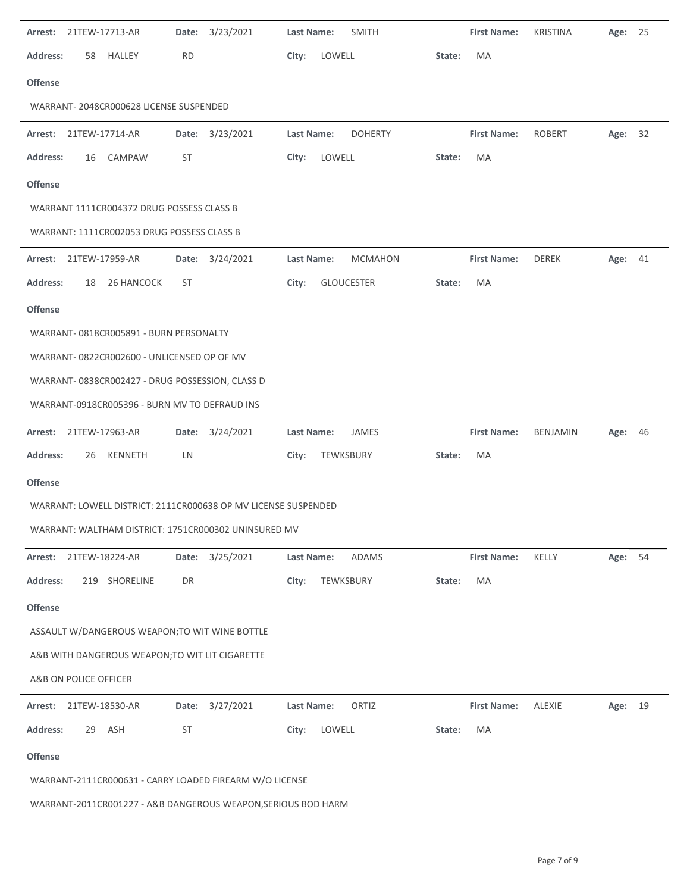| 21TEW-17713-AR                                                 | 3/23/2021<br>Date: | <b>Last Name:</b><br><b>SMITH</b> | <b>First Name:</b> | <b>KRISTINA</b> | Age:    | 25   |
|----------------------------------------------------------------|--------------------|-----------------------------------|--------------------|-----------------|---------|------|
| <b>Address:</b><br>HALLEY<br>58                                | <b>RD</b>          | City:<br>LOWELL                   | MA<br>State:       |                 |         |      |
| <b>Offense</b>                                                 |                    |                                   |                    |                 |         |      |
| WARRANT-2048CR000628 LICENSE SUSPENDED                         |                    |                                   |                    |                 |         |      |
| Arrest: 21TEW-17714-AR                                         | Date: 3/23/2021    | <b>DOHERTY</b><br>Last Name:      | <b>First Name:</b> | ROBERT          | Age: 32 |      |
| <b>Address:</b><br>CAMPAW<br>16                                | ST                 | LOWELL<br>City:                   | MA<br>State:       |                 |         |      |
| <b>Offense</b>                                                 |                    |                                   |                    |                 |         |      |
| WARRANT 1111CR004372 DRUG POSSESS CLASS B                      |                    |                                   |                    |                 |         |      |
| WARRANT: 1111CR002053 DRUG POSSESS CLASS B                     |                    |                                   |                    |                 |         |      |
| Arrest:<br>21TEW-17959-AR                                      | Date: 3/24/2021    | Last Name:<br><b>MCMAHON</b>      | <b>First Name:</b> | DEREK           | Age: 41 |      |
| <b>Address:</b><br>26 HANCOCK<br>18                            | ST                 | <b>GLOUCESTER</b><br>City:        | MA<br>State:       |                 |         |      |
| <b>Offense</b>                                                 |                    |                                   |                    |                 |         |      |
| WARRANT-0818CR005891 - BURN PERSONALTY                         |                    |                                   |                    |                 |         |      |
| WARRANT-0822CR002600 - UNLICENSED OP OF MV                     |                    |                                   |                    |                 |         |      |
| WARRANT-0838CR002427 - DRUG POSSESSION, CLASS D                |                    |                                   |                    |                 |         |      |
| WARRANT-0918CR005396 - BURN MV TO DEFRAUD INS                  |                    |                                   |                    |                 |         |      |
| 21TEW-17963-AR<br>Arrest:                                      | Date: 3/24/2021    | Last Name:<br>JAMES               | <b>First Name:</b> | <b>BENJAMIN</b> | Age: 46 |      |
| <b>Address:</b><br>KENNETH<br>26                               | LN                 | TEWKSBURY<br>City:                | State:<br>MA       |                 |         |      |
|                                                                |                    |                                   |                    |                 |         |      |
| <b>Offense</b>                                                 |                    |                                   |                    |                 |         |      |
| WARRANT: LOWELL DISTRICT: 2111CR000638 OP MV LICENSE SUSPENDED |                    |                                   |                    |                 |         |      |
| WARRANT: WALTHAM DISTRICT: 1751CR000302 UNINSURED MV           |                    |                                   |                    |                 |         |      |
| 21TEW-18224-AR<br>Arrest:                                      | Date: 3/25/2021    | ADAMS<br>Last Name:               | <b>First Name:</b> | KELLY           | Age:    | 54   |
| <b>Address:</b><br>219 SHORELINE                               | DR                 | City:<br>TEWKSBURY                | State:<br>MA       |                 |         |      |
| Offense                                                        |                    |                                   |                    |                 |         |      |
| ASSAULT W/DANGEROUS WEAPON; TO WIT WINE BOTTLE                 |                    |                                   |                    |                 |         |      |
| A&B WITH DANGEROUS WEAPON; TO WIT LIT CIGARETTE                |                    |                                   |                    |                 |         |      |
| A&B ON POLICE OFFICER                                          |                    |                                   |                    |                 |         |      |
| 21TEW-18530-AR<br>Arrest:                                      | Date: 3/27/2021    | ORTIZ<br>Last Name:               | <b>First Name:</b> | <b>ALEXIE</b>   | Age:    | - 19 |
| 29 ASH<br><b>Address:</b>                                      | ST                 | LOWELL<br>City:                   | MA<br>State:       |                 |         |      |
| <b>Offense</b>                                                 |                    |                                   |                    |                 |         |      |
| WARRANT-2111CR000631 - CARRY LOADED FIREARM W/O LICENSE        |                    |                                   |                    |                 |         |      |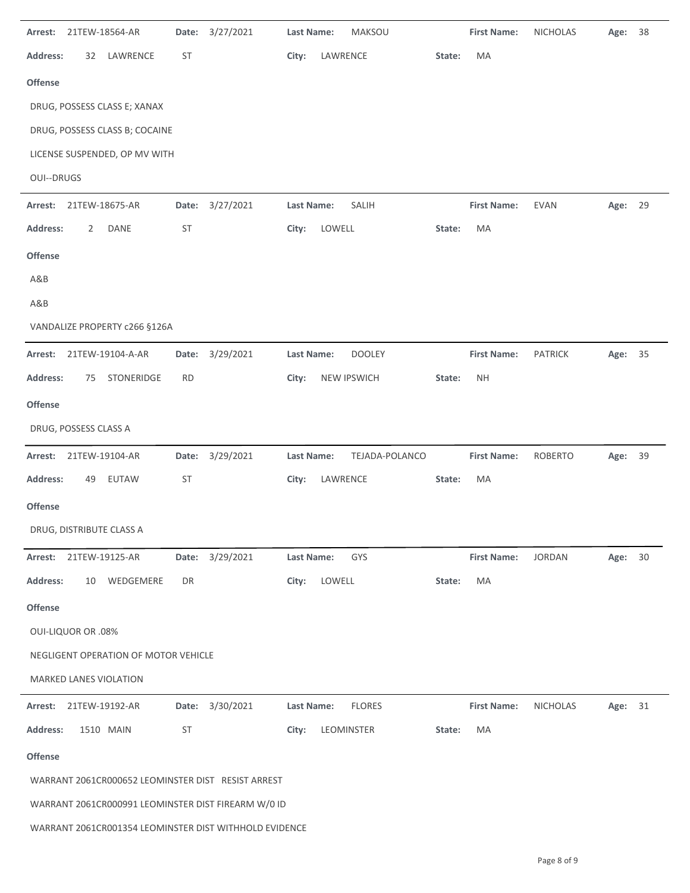| Arrest:           | 21TEW-18564-AR            |                                      | Date:     | 3/27/2021                                              | Last Name:        |          | MAKSOU             |        | <b>First Name:</b> | <b>NICHOLAS</b> | Age:    | 38 |
|-------------------|---------------------------|--------------------------------------|-----------|--------------------------------------------------------|-------------------|----------|--------------------|--------|--------------------|-----------------|---------|----|
| <b>Address:</b>   | 32                        | LAWRENCE                             | <b>ST</b> |                                                        | City:             | LAWRENCE |                    | State: | MA                 |                 |         |    |
| Offense           |                           |                                      |           |                                                        |                   |          |                    |        |                    |                 |         |    |
|                   |                           | DRUG, POSSESS CLASS E; XANAX         |           |                                                        |                   |          |                    |        |                    |                 |         |    |
|                   |                           | DRUG, POSSESS CLASS B; COCAINE       |           |                                                        |                   |          |                    |        |                    |                 |         |    |
|                   |                           | LICENSE SUSPENDED, OP MV WITH        |           |                                                        |                   |          |                    |        |                    |                 |         |    |
| <b>OUI--DRUGS</b> |                           |                                      |           |                                                        |                   |          |                    |        |                    |                 |         |    |
| Arrest:           |                           | 21TEW-18675-AR                       | Date:     | 3/27/2021                                              | Last Name:        |          | SALIH              |        | <b>First Name:</b> | <b>EVAN</b>     | Age: 29 |    |
| Address:          | 2                         | DANE                                 | ST        |                                                        | City:             | LOWELL   |                    | State: | MA                 |                 |         |    |
| Offense           |                           |                                      |           |                                                        |                   |          |                    |        |                    |                 |         |    |
| A&B               |                           |                                      |           |                                                        |                   |          |                    |        |                    |                 |         |    |
| A&B               |                           |                                      |           |                                                        |                   |          |                    |        |                    |                 |         |    |
|                   |                           | VANDALIZE PROPERTY c266 §126A        |           |                                                        |                   |          |                    |        |                    |                 |         |    |
| Arrest:           |                           | 21TEW-19104-A-AR                     |           | Date: 3/29/2021                                        | <b>Last Name:</b> |          | <b>DOOLEY</b>      |        | <b>First Name:</b> | <b>PATRICK</b>  | Age: 35 |    |
| <b>Address:</b>   | 75                        | STONERIDGE                           | RD        |                                                        | City:             |          | <b>NEW IPSWICH</b> | State: | <b>NH</b>          |                 |         |    |
| <b>Offense</b>    |                           |                                      |           |                                                        |                   |          |                    |        |                    |                 |         |    |
|                   | DRUG, POSSESS CLASS A     |                                      |           |                                                        |                   |          |                    |        |                    |                 |         |    |
| Arrest:           | 21TEW-19104-AR            |                                      |           | Date: 3/29/2021                                        | Last Name:        |          | TEJADA-POLANCO     |        | <b>First Name:</b> | ROBERTO         | Age: 39 |    |
| <b>Address:</b>   | 49                        | <b>EUTAW</b>                         | <b>ST</b> |                                                        | City:             | LAWRENCE |                    | State: | MA                 |                 |         |    |
| <b>Offense</b>    |                           |                                      |           |                                                        |                   |          |                    |        |                    |                 |         |    |
|                   |                           | DRUG, DISTRIBUTE CLASS A             |           |                                                        |                   |          |                    |        |                    |                 |         |    |
|                   | Arrest: 21TEW-19125-AR    |                                      |           | Date: 3/29/2021                                        | Last Name:        |          | GYS                |        | <b>First Name:</b> | <b>JORDAN</b>   | Age:    | 30 |
| <b>Address:</b>   | 10                        | WEDGEMERE                            | DR        |                                                        | City:             | LOWELL   |                    | State: | MA                 |                 |         |    |
| Offense           |                           |                                      |           |                                                        |                   |          |                    |        |                    |                 |         |    |
|                   | <b>OUI-LIQUOR OR .08%</b> |                                      |           |                                                        |                   |          |                    |        |                    |                 |         |    |
|                   |                           | NEGLIGENT OPERATION OF MOTOR VEHICLE |           |                                                        |                   |          |                    |        |                    |                 |         |    |
|                   |                           | <b>MARKED LANES VIOLATION</b>        |           |                                                        |                   |          |                    |        |                    |                 |         |    |
|                   | Arrest: 21TEW-19192-AR    |                                      |           | Date: 3/30/2021                                        | Last Name:        |          | <b>FLORES</b>      |        | <b>First Name:</b> | NICHOLAS        | Age: 31 |    |
| Address:          |                           | 1510 MAIN                            | <b>ST</b> |                                                        | City:             |          | LEOMINSTER         | State: | MA                 |                 |         |    |
| Offense           |                           |                                      |           |                                                        |                   |          |                    |        |                    |                 |         |    |
|                   |                           |                                      |           | WARRANT 2061CR000652 LEOMINSTER DIST RESIST ARREST     |                   |          |                    |        |                    |                 |         |    |
|                   |                           |                                      |           | WARRANT 2061CR000991 LEOMINSTER DIST FIREARM W/0 ID    |                   |          |                    |        |                    |                 |         |    |
|                   |                           |                                      |           | WARRANT 2061CR001354 LEOMINSTER DIST WITHHOLD EVIDENCE |                   |          |                    |        |                    |                 |         |    |